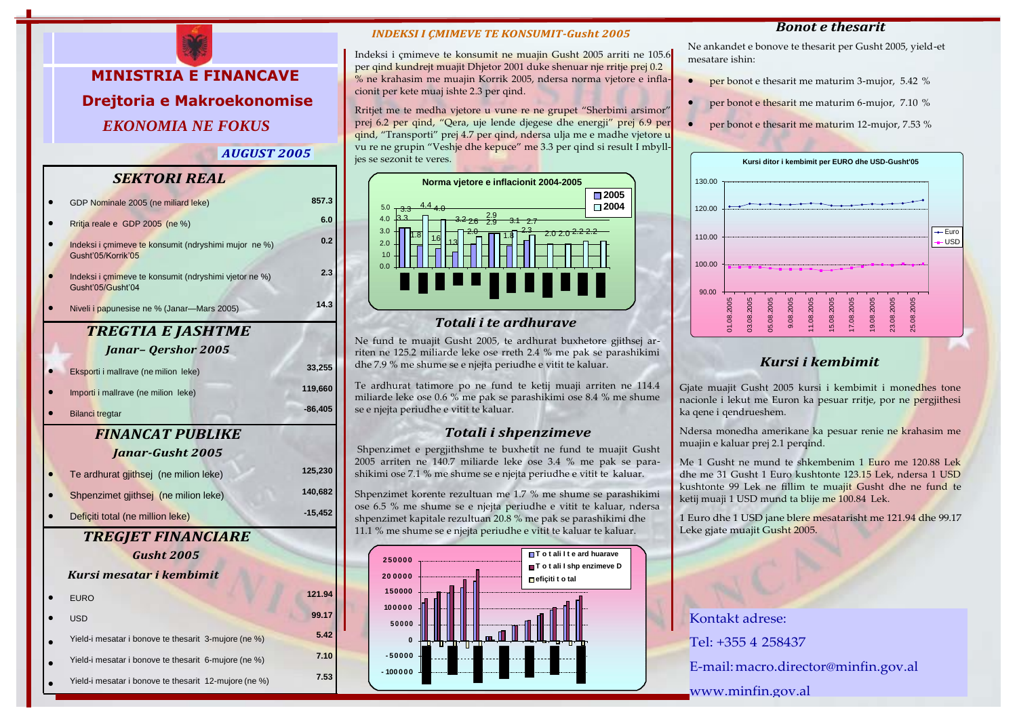

*AUGUST 2005*

### *SEKTORI REAL*

|                          | GDP Nominale 2005 (ne miliard leke)                                        | 857.3     |
|--------------------------|----------------------------------------------------------------------------|-----------|
|                          | Rritja reale e GDP 2005 (ne %)                                             | 6.0       |
|                          | Indeksi i çmimeve te konsumit (ndryshimi mujor ne %)<br>Gusht'05/Korrik'05 | 0.2       |
|                          | Indeksi i çmimeve te konsumit (ndryshimi vjetor ne %)<br>Gusht'05/Gusht'04 | 2.3       |
|                          | Niveli i papunesise ne % (Janar-Mars 2005)                                 | 14.3      |
| <b>TREGTIA E JASHTME</b> |                                                                            |           |
|                          | <b>Janar-Qershor 2005</b>                                                  |           |
|                          | Eksporti i mallrave (ne milion leke)                                       | 33,255    |
|                          | Importi i mallrave (ne milion leke)                                        | 119,660   |
|                          | <b>Bilanci tregtar</b>                                                     | $-86,405$ |
| <b>FINANCAT PUBLIKE</b>  |                                                                            |           |
|                          | <b>Janar-Gusht 2005</b>                                                    |           |
|                          | Te ardhurat gjithsej (ne milion leke)                                      | 125,230   |
|                          | Shpenzimet gjithsej (ne milion leke)                                       | 140,682   |
|                          | Deficiti total (ne million leke)                                           | $-15,452$ |
| TREGJET FINANCIARE       |                                                                            |           |
|                          | <b>Gusht 2005</b>                                                          |           |
|                          | Kursi mesatar i kembimit                                                   |           |
|                          | <b>EURO</b>                                                                | 121.94    |
|                          | <b>USD</b>                                                                 | 99.17     |
|                          | Yield-i mesatar i bonove te thesarit 3-mujore (ne %)                       | 5.42      |
|                          | Yield-i mesatar i bonove te thesarit 6-mujore (ne %)                       | 7.10      |
|                          | Yield-i mesatar i bonove te thesarit 12-mujore (ne %)                      | 7.53      |

#### *INDEKSI I ÇMIMEVE TE KONSUMIT-Gusht 2005*

Indeksi i çmimeve te konsumit ne muajin Gusht 2005 arriti ne 105.6 per qind kundrejt muajit Dhjetor 2001 duke shenuar nje rritje prej 0.2 % ne krahasim me muajin Korrik 2005, ndersa norma vjetore e inflacionit per kete muaj ishte 2.3 per qind.

Rritjet me te medha vjetore u vune re ne grupet "Sherbimi arsimor" prej 6.2 per qind, "Qera, uje lende djegese dhe energji" prej 6.9 per qind, "Transporti" prej 4.7 per qind, ndersa ulja me e madhe vjetore u vu re ne grupin "Veshje dhe kepuce" me 3.3 per qind si result I mbylljes se sezonit te veres.



### *Totali i te ardhurave*

Ne fund te muajit Gusht 2005, te ardhurat buxhetore gjithsej arriten ne 125.2 miliarde leke ose rreth 2.4 % me pak se parashikimi dhe 7.9 % me shume se e njejta periudhe e vitit te kaluar.

Te ardhurat tatimore po ne fund te ketij muaji arriten ne 114.4 miliarde leke ose 0.6 % me pak se parashikimi ose 8.4 % me shume se e njejta periudhe e vitit te kaluar.

### *Totali i shpenzimeve*

Shpenzimet e pergjithshme te buxhetit ne fund te muajit Gusht 2005 arriten ne 140.7 miliarde leke ose 3.4 % me pak se parashikimi ose 7.1 % me shume se e njejta periudhe e vitit te kaluar.

Shpenzimet korente rezultuan me 1.7 % me shume se parashikimi ose 6.5 % me shume se e njejta periudhe e vitit te kaluar, ndersa shpenzimet kapitale rezultuan 20.8 % me pak se parashikimi dhe 11.1 % me shume se e njejta periudhe e vitit te kaluar te kaluar.



#### *Bonot e thesarit*

Ne ankandet e bonove te thesarit per Gusht 2005, yield-et mesatare ishin:

- per bonot e thesarit me maturim 3-mujor, 5.42 %
- per bonot e thesarit me maturim 6-mujor, 7.10 %
- per bonot e thesarit me maturim 12-mujor, 7.53 %



# *Kursi i kembimit*

Gjate muajit Gusht 2005 kursi i kembimit i monedhes tone nacionle i lekut me Euron ka pesuar rritje, por ne pergjithesi ka qene i qendrueshem.

Ndersa monedha amerikane ka pesuar renie ne krahasim me muajin e kaluar prej 2.1 perqind.

Me 1 Gusht ne mund te shkembenim 1 Euro me 120.88 Lek dhe me 31 Gusht 1 Euro kushtonte 123.15 Lek, ndersa 1 USD kushtonte 99 Lek ne fillim te muajit Gusht dhe ne fund te ketij muaji 1 USD mund ta blije me 100.84 Lek.

1 Euro dhe 1 USD jane blere mesatarisht me 121.94 dhe 99.17 Leke gjate muajit Gusht 2005.

Kontakt adrese: Tel: +355 4 258437 E-mail[:macro.director@minfin.gov.al](mailto:macro.director@minfin.gov.al) [www.minfin.gov.al](http://www.minfin.gov.al/)